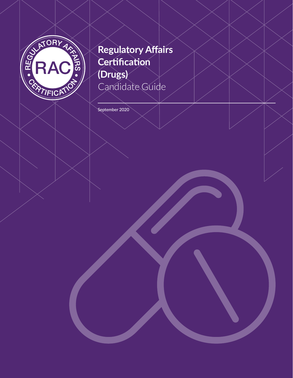

# **Regulatory Affairs Certification (Drugs)** Candidate Guide

September 2020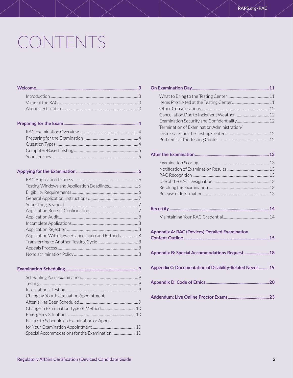# CONTENTS

|--|--|--|

| Application Withdrawal/Cancellation and Refunds 8 |  |
|---------------------------------------------------|--|
|                                                   |  |
|                                                   |  |
|                                                   |  |

### **Examination Scheduling [....................................................................](#page-8-0) 9** [Scheduling Your Examination.................................................................](#page-8-0) 9 [Testing................................................................................................................](#page-8-0) 9 [International Testing...................................................................................](#page-8-0) 9 [Changing Your Examination Appointment](#page-8-0)  [After it Has Been Scheduled...................................................................](#page-8-0) 9 [Change in Examination Type or Method.......................................10](#page-9-0) Emergency Situations [.............................................................................](#page-9-0) 10 [Failure to Schedule an Examination or Appear](#page-9-0)  [for Your Examination Appointment.................................................](#page-9-0) 10 [Special Accommodations for the Examination...........................10](#page-9-0)

| Termination of Examination Administration/               |
|----------------------------------------------------------|
|                                                          |
|                                                          |
|                                                          |
|                                                          |
|                                                          |
|                                                          |
|                                                          |
|                                                          |
|                                                          |
|                                                          |
|                                                          |
|                                                          |
| Appendix A: RAC (Devices) Detailed Examination           |
| Appendix B: Special Accommodations Request 18            |
| Appendix C: Documentation of Disability-Related Needs 19 |
|                                                          |
|                                                          |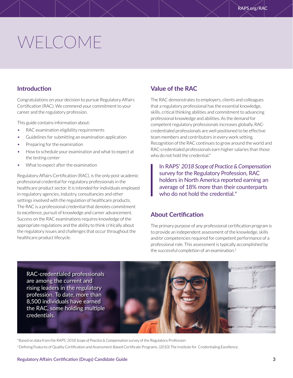# <span id="page-2-0"></span>WELCOME

## **Introduction**

Congratulations on your decision to pursue Regulatory Affairs Certification (RAC). We commend your commitment to your career and the regulatory profession.

This guide contains information about:

- RAC examination eligibility requirements
- Guidelines for submitting an examination application
- Preparing for the examination
- How to schedule your examination and what to expect at the testing center
- What to expect after the examination

Regulatory Affairs Certification (RAC), is the only post-academic professional credential for regulatory professionals in the healthcare product sector. It is intended for individuals employed in regulatory agencies, industry, consultancies and other settings involved with the regulation of healthcare products. The RAC is a professional credential that denotes commitment to excellence, pursuit of knowledge and career advancement. Success on the RAC examinations requires knowledge of the appropriate regulations and the ability to think critically about the regulatory issues and challenges that occur throughout the healthcare product lifecycle.

## **Value of the RAC**

The RAC demonstrates to employers, clients and colleagues that a regulatory professional has the essential knowledge, skills, critical thinking abilities and commitment to advancing professional knowledge and abilities. As the demand for competent regulatory professionals increases globally, RACcredentialed professionals are well positioned to be effective team members and contributors in every work setting. Recognition of the RAC continues to grow around the world and RAC-credentialed professionals earn higher salaries than those who do not hold the credential.\*

In RAPS' *2018 Scope of Practice & Compensation* survey for the Regulatory Profession, RAC holders in North America reported earning an average of 18% more than their counterparts who do not hold the credential.<sup>\*</sup>

## **About Certification**

The primary purpose of any professional certification program is to provide an independent assessment of the knowledge, skills and/or competencies required for competent performance of a professional role. This assessment is typically accomplished by the successful completion of an examination.<sup>1</sup>

RAC-credentialed professionals are among the current and rising leaders in the regulatory profession. To date, more than 8,500 individuals have earned the RAC, some holding multiple credentials.



\*Based on data from the RAPS' *2018 Scope of Practice & Compensation* survey of the Regulatory Profession 1 Defining Features of Quality Certification and Assessment-Based Certificate Programs. (2010) The Institute for Credentialing Excellence.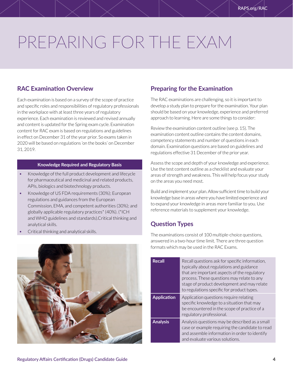# <span id="page-3-0"></span>PREPARING FOR THE EXAM

## **RAC Examination Overview**

Each examination is based on a survey of the scope of practice and specific roles and responsibilities of regulatory professionals in the workplace with at least three years of regulatory experience. Each examination is reviewed and revised annually and content is updated for the Spring exam cycle. Examination content for RAC exam is based on regulations and guidelines in effect on December 31 of the year prior. So exams taken in 2020 will be based on regulations 'on the books' on December 31, 2019.

### **Knowledge Required and Regulatory Basis**

- Knowledge of the full product development and lifecycle for pharmaceutical and medicinal and related products, APIs, biologics and biotechnology products.
- Knowledge of US FDA requirements (30%); European regulations and guidances from the European Commission, EMA, and competent authorities (30%); and globally applicable regulatory practices\* (40%). (\*ICH and WHO guidelines and standards).Critical thinking and analytical skills.
- Critical thinking and analytical skills.



## **Preparing for the Examination**

The RAC examinations are challenging, so it is important to develop a study plan to prepare for the examination. Your plan should be based on your knowledge, experience and preferred approach to learning. Here are some things to consider:

Review the examination content outline (see p. 15). The examination content outline contains the content domains, competency statements and number of questions in each domain. Examination questions are based on guidelines and regulations effective 31 December of the prior year.

Assess the scope and depth of your knowledge and experience. Use the test content outline as a checklist and evaluate your areas of strength and weakness. This will help focus your study on the areas you need most.

Build and implement your plan. Allow sufficient time to build your knowledge base in areas where you have limited experience and to expand your knowledge in areas more familiar to you. Use reference materials to supplement your knowledge.

## **Question Types**

The examinations consist of 100 multiple-choice questions, answered in a two-hour time limit. There are three question formats which may be used in the RAC Exams.

| <b>Recall</b>      | Recall questions ask for specific information,<br>typically about regulations and guidance<br>that are important aspects of the regulatory<br>process. These questions may relate to any<br>stage of product development and may relate<br>to regulations specific for product types. |
|--------------------|---------------------------------------------------------------------------------------------------------------------------------------------------------------------------------------------------------------------------------------------------------------------------------------|
| <b>Application</b> | Application questions require relating<br>specific knowledge to a situation that may<br>be encountered in the scope of practice of a<br>regulatory professional.                                                                                                                      |
| <b>Analysis</b>    | Analysis questions may be described as a small<br>case or example requiring the candidate to read<br>and assemble information in order to identify<br>and evaluate various solutions.                                                                                                 |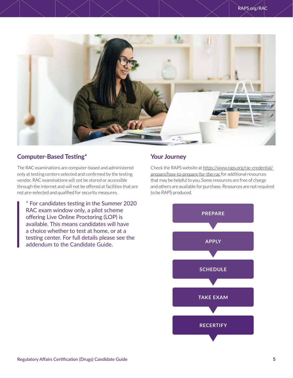<span id="page-4-0"></span>

## **Computer-Based Testing\***

The RAC examinations are computer-based and administered only at testing centers selected and confirmed by the testing vendor. RAC examinations will not be stored or accessible through the internet and will not be offered at facilities that are not pre-selected and qualified for security measures.

\* For candidates testing in the Summer 2020 RAC exam window only, a pilot scheme offering Live Online Proctoring (LOP) is available. This means candidates will have a choice whether to test at home, or at a testing center. For full details please see the addendum to the Candidate Guide.

## **Your Journey**

Check the RAPS website at [https://www.raps.org/rac-credential/](https://www.raps.org/rac-credential/prepare/how-to-prepare-for-the-rac) [prepare/how-to-prepare-for-the-rac](https://www.raps.org/rac-credential/prepare/how-to-prepare-for-the-rac) for additional resources that may be helpful to you. Some resources are free of charge and others are available for purchase. Resources are not required to be RAPS produced.

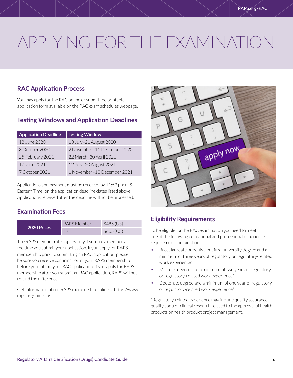# <span id="page-5-0"></span>APPLYING FOR THE EXAMINATION

## **RAC Application Process**

You may apply for the RAC online or submit the printable application form available on the [RAC exam schedules webpage](https://www.raps.org/rac-credential/applyrac/how-to-apply-for-the-rac).

## **Testing Windows and Application Deadlines**

| <b>Application Deadline</b> | <b>Testing Window</b>       |
|-----------------------------|-----------------------------|
| 18 June 2020                | 13 July-21 August 2020      |
| 8 October 2020              | 2 November-11 December 2020 |
| 25 February 2021            | 22 March-30 April 2021      |
| 17 June 2021                | 12 July-20 August 2021      |
| 7 October 2021              | 1 November-10 December 2021 |

Applications and payment must be received by 11:59 pm (US Eastern Time) on the application deadline dates listed above. Applications received after the deadline will not be processed.

## **Examination Fees**

| 2020 Prices | RAPS Member | \$485 (US) |  |
|-------------|-------------|------------|--|
|             | l ist       | \$605 (US) |  |

The RAPS member rate applies only if you are a member at the time you submit your application. If you apply for RAPS membership prior to submitting an RAC application, please be sure you receive confirmation of your RAPS membership before you submit your RAC application. If you apply for RAPS membership after you submit an RAC application, RAPS will not refund the difference.

Get information about RAPS membership online at [https://www.](https://www.raps.org/join-raps) [raps.org/join-raps.](https://www.raps.org/join-raps)



## **Eligibility Requirements**

To be eligible for the RAC examination you need to meet one of the following educational and professional experience requirement combinations:

- Baccalaureate or equivalent first university degree and a minimum of three years of regulatory or regulatory-related work experience\*
- Master's degree and a minimum of two years of regulatory or regulatory-related work experience\*
- Doctorate degree and a minimum of one year of regulatory or regulatory-related work experience\*

\*Regulatory-related experience may include quality assurance, quality control, clinical research related to the approval of health products or health product project management.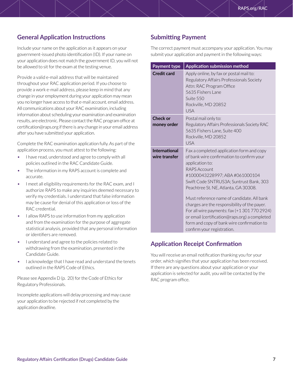## <span id="page-6-0"></span>**General Application Instructions**

Include your name on the application as it appears on your government-issued photo identification (ID). If your name on your application does not match the government ID, you will not be allowed to sit for the exam at the testing venue.

Provide a valid e-mail address that will be maintained throughout your RAC application period. If you choose to provide a work e-mail address, please keep in mind that any change in your employment during your application may mean you no longer have access to that e-mail account. email address. All communications about your RAC examination, including information about scheduling your examination and examination results, are electronic. Please contact the RAC program office at certification@raps.org if there is any change in your email address after you have submitted your application.

Complete the RAC examination application fully. As part of the application process, you must attest to the following:

- I have read, understood and agree to comply with all policies outlined in the RAC Candidate Guide.
- The information in my RAPS account is complete and accurate.
- I meet all eligibility requirements for the RAC exam, and I authorize RAPS to make any inquiries deemed necessary to verify my credentials. I understand that false information may be cause for denial of this application or loss of the RAC credential.
- I allow RAPS to use information from my application and from the examination for the purpose of aggregate statistical analysis, provided that any personal information or identifiers are removed.
- I understand and agree to the policies related to withdrawing from the examination, presented in the Candidate Guide.
- I acknowledge that I have read and understand the tenets outlined in the RAPS Code of Ethics.

Please see Appendix D (p. 20) for the Code of Ethics for Regulatory Professionals.

Incomplete applications will delay processing and may cause your application to be rejected if not completed by the application deadline.

## **Submitting Payment**

The correct payment must accompany your application. You may submit your application and payment in the following ways:

| Payment type                          | Application submission method                                                                                                                                                                                                                                                                                                                                                                                                                                                                                                 |  |  |  |
|---------------------------------------|-------------------------------------------------------------------------------------------------------------------------------------------------------------------------------------------------------------------------------------------------------------------------------------------------------------------------------------------------------------------------------------------------------------------------------------------------------------------------------------------------------------------------------|--|--|--|
| <b>Credit card</b>                    | Apply online, by fax or postal mail to:<br>Regulatory Affairs Professionals Society<br>Attn: RAC Program Office<br>5635 Fishers Lane<br>Suite 550<br>Rockville, MD 20852<br><b>USA</b>                                                                                                                                                                                                                                                                                                                                        |  |  |  |
| <b>Check or</b><br>money order        | Postal mail only to:<br>Regulatory Affairs Professionals Society RAC<br>5635 Fishers Lane, Suite 400<br>Rockville, MD 20852<br><b>USA</b>                                                                                                                                                                                                                                                                                                                                                                                     |  |  |  |
| <b>International</b><br>wire transfer | Fax a completed application form and copy<br>of bank wire confirmation to confirm your<br>application to:<br><b>RAPS Account</b><br>#1000043228997; ABA #061000104<br>Swift Code SNTRUS3A; Suntrust Bank, 303<br>Peachtree St. NE, Atlanta, GA 30308.<br>Must reference name of candidate. All bank<br>charges are the responsibility of the payer.<br>For all wire payments: fax (+13017702924)<br>or email (certification@raps.org) a completed<br>form and copy of bank wire confirmation to<br>confirm your registration. |  |  |  |

## **Application Receipt Confirmation**

You will receive an email notification thanking you for your order, which signifies that your application has been received. If there are any questions about your application or your application is selected for audit, you will be contacted by the RAC program office.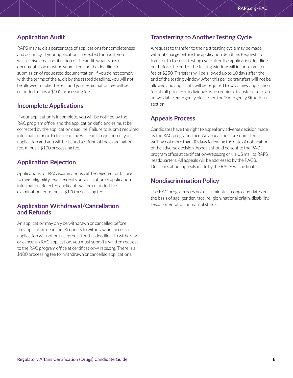## <span id="page-7-0"></span>**Application Audit**

RAPS may audit a percentage of applications for completeness and accuracy. If your application is selected for audit, you will receive email notification of the audit, what types of documentation must be submitted and the deadline for submission of requested documentation. If you do not comply with the terms of the audit by the stated deadline, you will not be allowed to take the test and your examination fee will be refunded minus a \$100 processing fee.

## **Incomplete Applications**

If your application is incomplete, you will be notified by the RAC program office, and the application deficiencies must be corrected by the application deadline. Failure to submit required information prior to the deadline will lead to rejection of your application and you will be issued a refund of the examination fee, minus a \$100 processing fee.

## **Application Rejection**

Applications for RAC examinations will be rejected for failure to meet eligibility requirements or falsification of application information. Rejected applicants will be refunded the examination fee, minus a \$100 processing fee.

### **Application Withdrawal/Cancellation and Refunds**

An application may only be withdrawn or cancelled before the application deadline. Requests to withdraw or cancel an application will not be accepted after this deadline. To withdraw or cancel an RAC application, you must submit a written request to the RAC program office at certification@ raps.org. There is a \$100 processing fee for withdrawn or cancelled applications.

## **Transferring to Another Testing Cycle**

A request to transfer to the next testing cycle may be made without charge before the application deadline. Requests to transfer to the next testing cycle after the application deadline but before the end of the testing window will incur a transfer fee of \$250. Transfers will be allowed up to 10 days after the end of the testing window. After this period transfers will not be allowed and applicants will be required to pay a new application fee at full price. For individuals who require a transfer due to an unavoidable emergency please see the 'Emergency Situations' section.

## **Appeals Process**

Candidates have the right to appeal any adverse decision made by the RAC program office. An appeal must be submitted in writing not more than 30 days following the date of notification of the adverse decision. Appeals should be sent to the RAC program office at certification@raps.org or via US mail to RAPS headquarters. All appeals will be addressed by the RACB. Decisions about appeals made by the RACB will be final.

## **Nondiscrimination Policy**

The RAC program does not discriminate among candidates on the basis of age, gender, race, religion, national origin, disability, sexual orientation or marital status.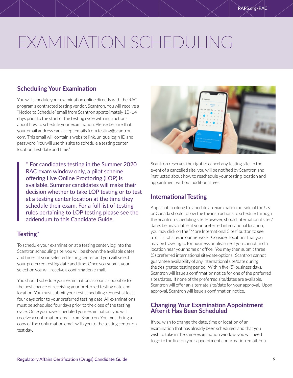# <span id="page-8-0"></span>EXAMINATION SCHEDULING

## **Scheduling Your Examination**

You will schedule your examination online directly with the RAC program's contracted testing vendor, Scantron. You will receive a "Notice to Schedule" email from Scantron approximately 10–14 days prior to the start of the testing cycle with instructions about how to schedule your examination. Please be sure that your email address can accept emails from [testing@scantron.](mailto:testing@scantron.com) [com](mailto:testing@scantron.com). This email will contain a website link, unique login ID and password. You will use this site to schedule a testing center location, test date and time.\*

\* For candidates testing in the Summer 2020 RAC exam window only, a pilot scheme offering Live Online Proctoring (LOP) is available. Summer candidates will make their decision whether to take LOP testing or to test at a testing center location at the time they schedule their exam. For a full list of testing rules pertaining to LOP testing please see the addendum to this Candidate Guide.

## **Testing\***

To schedule your examination at a testing center, log into the Scantron scheduling site, you will be shown the available dates and times at your selected testing center and you will select your preferred testing date and time. Once you submit your selection you will receive a confirmation e-mail.

You should schedule your examination as soon as possible for the best chance of receiving your preferred testing date and location. You must submit your test scheduling request at least four days prior to your preferred testing date. All examinations must be scheduled four days prior to the close of the testing cycle. Once you have scheduled your examination, you will receive a confirmation email from Scantron. You must bring a copy of the confirmation email with you to the testing center on test day.



Scantron reserves the right to cancel any testing site. In the event of a cancelled site, you will be notified by Scantron and instructed about how to reschedule your testing location and appointment without additional fees.

## **International Testing**

Applicants looking to schedule an examination outside of the US or Canada should follow the the instructions to schedule through the Scantron scheduling site. However, should international sites/ dates be unavailable at your preferred international location, you may click on the "More International Sites" button to see a full list of sites in our network. Consider locations that you may be traveling to for business or pleasure if you cannot find a location near your home or office. You may then submit three (3) preferred international site/date options. Scantron cannot guarantee availability of any international site/date during the designated testing period. Within five (5) business days, Scantron will issue a confirmation notice for one of the preferred sites/dates. If none of the preferred site/dates are available, Scantron will offer an alternate site/date for your approval. Upon approval, Scantron will issue a confirmation notice.

## **Changing Your Examination Appointment After it Has Been Scheduled**

If you wish to change the date, time or location of an examination that has already been scheduled, and that you wish to take in the same examination window, you will need to go to the link on your appointment confirmation email. You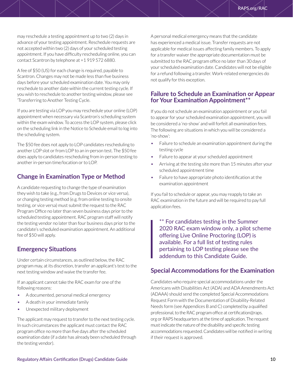<span id="page-9-0"></span>may reschedule a testing appointment up to two (2) days in advance of your testing appointment. Reschedule requests are not accepted within two (2) days of your scheduled testing appointment. If you have difficulty rescheduling online, you can contact Scantron by telephone at +1 919 572 6880.

A fee of \$50 (US) for each change is required, payable to Scantron. Changes may not be made less than five business days before your scheduled examination date. You may only reschedule to another date within the current testing cycle. If you wish to reschedule to another testing window, please see 'Transferring to Another Testing Cycle.

If you are testing via LOP you may reschedule your online (LOP) appointment when necessary via Scantron's scheduling system within the exam window. To access the LOP system, please click on the scheduling link in the Notice to Schedule email to log into the scheduling system.

The \$50 fee does not apply to LOP candidates rescheduling to another LOP slot or from LOP to an in-person test. The \$50 fee does apply to candidates rescheduling from in-person testing to another in-person time/location or to LOP.

## **Change in Examination Type or Method**

A candidate requesting to change the type of examination they wish to take (e.g., from Drugs to Devices or vice versa), or changing testing method (e.g. from online testing to onsite testing, or vice versa) must submit the request to the RAC Program Office no later than seven business days prior to the scheduled testing appointment. RAC program staff will notify the testing vendor no later than four business days prior to the candidate's scheduled examination appointment. An additional fee of \$50 will apply.

## **Emergency Situations**

Under certain circumstances, as outlined below, the RAC program may, at its discretion, transfer an applicant's test to the next testing window and waive the transfer fee.

If an applicant cannot take the RAC exam for one of the following reasons:

- A documented, personal medical emergency
- A death in your immediate family
- Unexpected military deployment

The applicant may request to transfer to the next testing cycle. In such circumstances the applicant must contact the RAC program office no more than five days after the scheduled examination date (if a date has already been scheduled through the testing vendor).

A personal medical emergency means that the candidate has experienced a medical issue. Transfer requests are not applicable for medical issues affecting family members. To apply for a transfer waiver the appropriate documentation must be submitted to the RAC program office no later than 30 days of your scheduled examination date. Candidates will not be eligible for a refund following a transfer. Work-related emergencies do not qualify for this exception.

## **Failure to Schedule an Examination or Appear for Your Examination Appointment\*\***

If you do not schedule an examination appointment or you fail to appear for your scheduled examination appointment, you will be considered a 'no-show' and will forfeit all examination fees. The following are situations in which you will be considered a 'no-show':

- Failure to schedule an examination appointment during the testing cycle
- Failure to appear at your scheduled appointment
- Arriving at the testing site more than 15 minutes after your scheduled appointment time
- Failure to have appropriate photo identification at the examination appointment

If you fail to schedule or appear, you may reapply to take an RAC examination in the future and will be required to pay full application fees.

\*\* For candidates testing in the Summer 2020 RAC exam window only, a pilot scheme offering Live Online Proctoring (LOP) is available. For a full list of testing rules pertaining to LOP testing please see the addendum to this Candidate Guide.

## **Special Accommodations for the Examination**

Candidates who require special accommodations under the Americans with Disabilities Act (ADA) and ADA Amendments Act (ADAAA) should send the completed Special Accommodations Request Form with the Documentation of Disability-Related Needs form (see Appendices B and C) completed by a qualified professional, to the RAC program office at certification@raps. org or RAPS headquarters at the time of application. The request must indicate the nature of the disability and specific testing accommodations requested. Candidates will be notified in writing if their request is approved.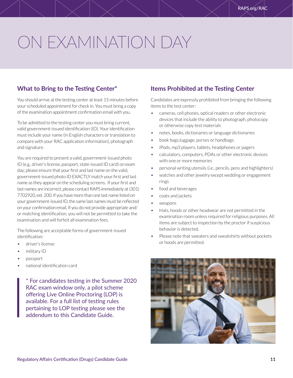# <span id="page-10-0"></span>ON EXAMINATION DAY

## **What to Bring to the Testing Center\***

You should arrive at the testing center at least 15 minutes before your scheduled appointment for check in. You must bring a copy of the examination appointment confirmation email with you.

To be admitted to the testing center you must bring current, valid government-issued identification (ID). Your identification must include your name (in English characters or translation to compare with your RAC application information), photograph and signature.

You are required to present a valid, government-issued photo ID (e.g., driver's license, passport, state-issued ID card) on exam day; please ensure that your first and last name on the valid, government-issued photo ID EXACTLY match your first and last name as they appear on the scheduling screens. If your first and last names are incorrect, please contact RAPS immediately at (301) 7702920, ext. 200. If you have more than one last name listed on your government-issued ID, the same last names must be reflected on your confirmation email. If you do not provide appropriate and/ or matching identification, you will not be permitted to take the examination and will forfeit all examination fees.

The following are acceptable forms of government-issued identification:

- driver's license
- military ID
- passport
- national identification card

\* For candidates testing in the Summer 2020 RAC exam window only, a pilot scheme offering Live Online Proctoring (LOP) is available. For a full list of testing rules pertaining to LOP testing please see the addendum to this Candidate Guide.

## **Items Prohibited at the Testing Center**

Candidates are expressly prohibited from bringing the following items to the test center:

- cameras, cell phones, optical readers or other electronic devices that include the ability to photograph, photocopy or otherwise copy test materials
- notes, books, dictionaries or language dictionaries
- book bags,luggage, purses or handbags
- iPods, mp3 players, tablets, headphones or pagers
- calculators, computers, PDAs or other electronic devices with one or more memories
- personal writing utensils (i.e., pencils, pens and highlighters)
- watches and other jewelry except wedding or engagement rings
- food and beverages
- coats and jackets
- weapons
- Hats, hoods or other headwear are not permitted in the examination room unless required for religious purposes. All items are subject to inspection by the proctor if suspicious behavior is detected.
- Please note that sweaters and sweatshirts without pockets or hoods are permitted.

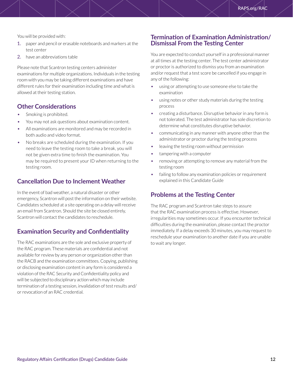<span id="page-11-0"></span>You will be provided with:

- 1. paper and pencil or erasable noteboards and markers at the test center
- 2. have an abbreviations table

Please note that Scantron testing centers administer examinations for multiple organizations. Individuals in the testing room with you may be taking different examinations and have different rules for their examination including time and what is allowed at their testing station.

## **Other Considerations**

- Smoking is prohibited.
- You may not ask questions about examination content.
- All examinations are monitored and may be recorded in both audio and video format.
- No breaks are scheduled during the examination. If you need to leave the testing room to take a break, you will not be given extra time to finish the examination. You may be required to present your ID when returning to the testing room.

## **Cancellation Due to Inclement Weather**

In the event of bad weather, a natural disaster or other emergency, Scantron will post the information on their website. Candidates scheduled at a site operating on a delay will receive an email from Scantron. Should the site be closed entirely, Scantron will contact the candidates to reschedule.

## **Examination Security and Confidentiality**

The RAC examinations are the sole and exclusive property of the RAC program. These materials are confidential and not available for review by any person or organization other than the RACB and the examination committees. Copying, publishing or disclosing examination content in any form is considered a violation of the RAC Security and Confidentiality policy and will be subjected to disciplinary action which may include termination of a testing session, invalidation of test results and/ or revocation of an RAC credential.

### **Termination of Examination Administration/ Dismissal From the Testing Center**

You are expected to conduct yourself in a professional manner at all times at the testing center. The test center administrator or proctor is authorized to dismiss you from an examination and/or request that a test score be cancelled if you engage in any of the following:

- using or attempting to use someone else to take the examination
- using notes or other study materials during the testing process
- creating a disturbance. Disruptive behavior in any form is not tolerated. The test administrator has sole discretion to determine what constitutes disruptive behavior.
- communicating in any manner with anyone other than the administrator or proctor during the testing process
- leaving the testing room without permission
- tampering with a computer
- removing or attempting to remove any material from the testing room
- failing to follow any examination policies or requirement explained in this Candidate Guide

## **Problems at the Testing Center**

The RAC program and Scantron take steps to assure that the RAC examination process is effective. However, irregularities may sometimes occur. If you encounter technical difficulties during the examination, please contact the proctor immediately. If a delay exceeds 30 minutes, you may request to reschedule your examination to another date if you are unable to wait any longer.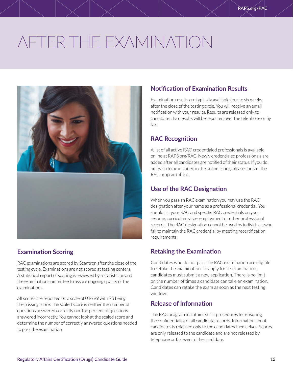# <span id="page-12-0"></span>AFTER THE EXAMINATION



## **Examination Scoring**

RAC examinations are scored by Scantron after the close of the testing cycle. Examinations are not scored at testing centers. A statistical report of scoring is reviewed by a statistician and the examination committee to assure ongoing quality of the examinations.

All scores are reported on a scale of 0 to 99 with 75 being the passing score. The scaled score is neither the number of questions answered correctly nor the percent of questions answered incorrectly. You cannot look at the scaled score and determine the number of correctly answered questions needed to pass the examination.

## **Notification of Examination Results**

Examination results are typically available four to six weeks after the close of the testing cycle. You will receive an email notification with your results. Results are released only to candidates. No results will be reported over the telephone or by fax.

## **RAC Recognition**

A list of all active RAC-credentialed professionals is available online at RAPS.org/RAC. Newly credentialed professionals are added after all candidates are notified of their status. If you do not wish to be included in the online listing, please contact the RAC program office.

## **Use of the RAC Designation**

When you pass an RAC examination you may use the RAC designation after your name as a professional credential. You should list your RAC and specific RAC credentials on your resume, curriculum vitae, employment or other professional records. The RAC designation cannot be used by individuals who fail to maintain the RAC credential by meeting recertification requirements.

## **Retaking the Examination**

Candidates who do not pass the RAC examination are eligible to retake the examination. To apply for re-examination, candidates must submit a new application. There is no limit on the number of times a candidate can take an examination. Candidates can retake the exam as soon as the next testing window.

## **Release of Information**

The RAC program maintains strict procedures for ensuring the confidentiality of all candidate records. Information about candidates is released only to the candidates themselves. Scores are only released to the candidate and are not released by telephone or fax even to the candidate.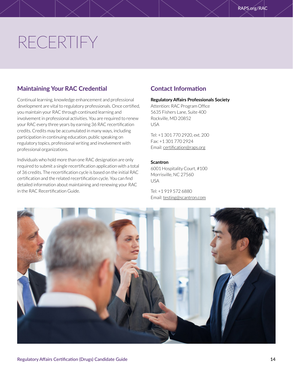# <span id="page-13-0"></span>RECERTIFY

## **Maintaining Your RAC Credential**

Continual learning, knowledge enhancement and professional development are vital to regulatory professionals. Once certified, you maintain your RAC through continued learning and involvement in professional activities. You are required to renew your RAC every three years by earning 36 RAC recertification credits. Credits may be accumulated in many ways, including participation in continuing education, public speaking on regulatory topics, professional writing and involvement with professional organizations.

Individuals who hold more than one RAC designation are only required to submit a single recertification application with a total of 36 credits. The recertification cycle is based on the initial RAC certification and the related recertification cycle. You can find detailed information about maintaining and renewing your RAC in the RAC Recertification Guide.

## **Contact Information**

### **Regulatory Affairs Professionals Society**

Attention: RAC Program Office 5635 Fishers Lane, Suite 400 Rockville, MD 20852 USA

Tel: +1 301 770 2920, ext. 200 Fax: +1 301 770 2924 Email: [certification@raps.org](mailto:certification@raps.org)

### **Scantron**

6001 Hospitality Court, #100 Morrisville, NC 27560 USA

Tel: +1 919 572 6880 Email: [testing@scantron.com](mailto:testing@scantron.com)

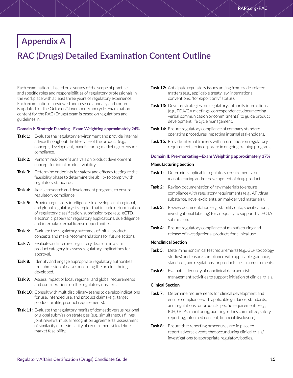## <span id="page-14-0"></span>**Appendix A**

## **RAC (Drugs) Detailed Examination Content Outline**

Each examination is based on a survey of the scope of practice and specific roles and responsibilities of regulatory professionals in the workplace with at least three years of regulatory experience. Each examination is reviewed and revised annually and content is updated for the October/November exam cycle. Examination content for the RAC (Drugs) exam is based on regulations and guidelines in:

#### **Domain I: Strategic Planning—Exam Weighting approximately 24%**

- **Task 1:** Evaluate the regulatory environment and provide internal advice throughout the life cycle of the product (e.g., concept, development, manufacturing, marketing) to ensure compliance.
- **Task 2:** Perform risk/benefit analysis on product development concept for initial product viability.
- **Task 3:** Determine endpoints for safety and efficacy testing at the feasibility phase to determine the ability to comply with regulatory standards.
- **Task 4:** Advise research and development programs to ensure regulatory compliance.
- **Task 5:** Provide regulatory intelligence to develop local, regional, and global regulatory strategies that include determination of regulatory classification, submission type (e.g., eCTD, electronic, paper) for regulatory applications, due diligence, and internal/external license opportunities.
- **Task 6:** Evaluate the regulatory outcomes of initial product concepts and make recommendations for future actions.
- **Task 7:** Evaluate and interpret regulatory decisions in a similar product category to assess regulatory implications for approval.
- **Task 8:** Identify and engage appropriate regulatory authorities for submission of data concerning the product being developed.
- **Task 9:** Assess impact of local, regional, and global requirements and considerations on the regulatory dossiers.
- **Task 10:** Consult with multidisciplinary teams to develop indications for use, intended use, and product claims (e.g., target product profile, product requirements).
- **Task 11:** Evaluate the regulatory merits of domestic versus regional or global submission strategies (e.g., simultaneous filings, joint reviews, mutual recognition agreements, assessment of similarity or dissimilarity of requirements) to define market feasibility.
- **Task 12:** Anticipate regulatory issues arising from trade-related matters (e.g., applicable treaty law, international conventions, "for export only" status).
- **Task 13:** Develop strategies for regulatory authority interactions (e.g., FDA/CA meetings, correspondence, documenting verbal communication or commitments) to guide product development life cycle management.
- **Task 14:** Ensure regulatory compliance of company standard operating procedures impacting internal stakeholders.
- **Task 15:** Provide internal trainers with information on regulatory requirements to incorporate in ongoing training programs.

### **Domain II: Pre-marketing—Exam Weighting approximately 37%**

### **Manufacturing Section**

- **Task 1:** Determine applicable regulatory requirements for manufacturing and/or development of drug products.
- **Task 2:** Review documentation of raw materials to ensure compliance with regulatory requirements (e.g., API/drug substance, novel excipients, animal-derived materials).
- **Task 3:** Review documentation (e.g., stability data, specifications, investigational labeling) for adequacy to support IND/CTA submission.
- **Task 4:** Ensure regulatory compliance of manufacturing and release of investigational products for clinical use.

#### **Nonclinical Section**

- **Task 5:** Determine nonclinical test requirements (e.g., GLP, toxicology studies) and ensure compliance with applicable guidance, standards, and regulations for product-specific requirements.
- **Task 6:** Evaluate adequacy of nonclinical data and risk management activities to support initiation of clinical trials.

#### **Clinical Section**

- **Task 7:** Determine requirements for clinical development and ensure compliance with applicable guidance, standards, and regulations for product-specific requirements (e.g., ICH, GCPs, monitoring, auditing, ethics committee, safety reporting, informed consent, financial disclosure).
- **Task 8:** Ensure that reporting procedures are in place to report adverse events that occur during clinical trials/ investigations to appropriate regulatory bodies.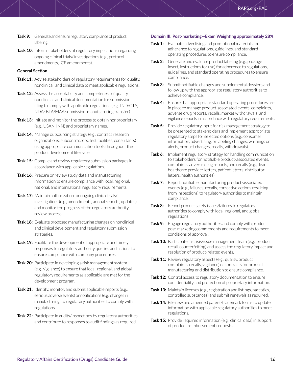- **Task 9:** Generate and ensure regulatory compliance of product labeling.
- **Task 10:** Inform stakeholders of regulatory implications regarding ongoing clinical trials/ investigations (e.g., protocol amendments, ICF amendments).

### **General Section**

- Task 11: Advise stakeholders of regulatory requirements for quality, nonclinical, and clinical data to meet applicable regulations.
- **Task 12:** Assess the acceptability and completeness of quality, nonclinical, and clinical documentation for submission filing to comply with applicable regulations (e.g., IND/CTA, NDA/ BLA/MAA submission, manufacturing transfer).
- **Task 13:** Initiate and monitor the process to obtain nonproprietary (e.g., USAN, INN) and proprietary names.
- **Task 14:** Manage outsourcing strategy (e.g., contract research organizations, subcontractors, test facilities, consultants) using appropriate communication tools throughout the product development life cycle.
- **Task 15:** Compile and review regulatory submission packages in accordance with applicable regulations.
- **Task 16:** Prepare or review study data and manufacturing information to ensure compliance with local, regional, national, and international regulatory requirements.
- **Task 17:** Maintain authorization for ongoing clinical trials/ investigations (e.g., amendments, annual reports, updates) and monitor the progress of the regulatory authority review process.
- **Task 18:** Evaluate proposed manufacturing changes on nonclinical and clinical development and regulatory submission strategies.
- **Task 19:** Facilitate the development of appropriate and timely responses to regulatory authority queries and actions to ensure compliance with company procedures.
- **Task 20:** Participate in developing a risk management system (e.g., vigilance) to ensure that local, regional, and global regulatory requirements as applicable are met for the development program.
- **Task 21:** Identify, monitor, and submit applicable reports (e.g., serious adverse events) or notifications (e.g., changes in manufacturing) to regulatory authorities to comply with regulations.
- **Task 22:** Participate in audits/inspections by regulatory authorities and contribute to responses to audit findings as required.

### **Domain III: Post-marketing—Exam Weighting approximately 28%**

- **Task 1:** Evaluate advertising and promotional materials for adherence to regulations, guidelines, and standard operating procedures to ensure compliance.
- **Task 2:** Generate and evaluate product labeling (e.g., package insert, instructions for use) for adherence to regulations, guidelines, and standard operating procedures to ensure compliance.
- **Task 3:** Submit notifiable changes and supplemental dossiers and follow up with the appropriate regulatory authorities to achieve compliance.
- **Task 4:** Ensure that appropriate standard operating procedures are in place to manage product-associated events, complaints, adverse drug reports, recalls, market withdrawals, and vigilance reports in accordance with regulatory requirements.
- **Task 5:** Provide regulatory input for risk management strategy to be presented to stakeholders and implement appropriate regulatory steps for selected options (e.g., consumer information, advertising, or labeling changes, warnings or alerts, product changes, recalls, withdrawals).
- **Task 6:** Implement regulatory strategy for handling communication to stakeholders for notifiable product-associated events, complaints, adverse drug reports, and recalls (e.g., dear healthcare provider letters, patient letters, distributor letters, health authorities).
- **Task 7:** Report notifiable manufacturing product-associated events (e.g., failures, recalls, corrective actions resulting from inspections) to regulatory authorities to maintain compliance.
- **Task 8:** Report product safety issues/failures to regulatory authorities to comply with local, regional, and global regulations.
- **Task 9:** Engage regulatory authorities and comply with product post-marketing commitments and requirements to meet conditions of approval.
- Task 10: Participate in crisis/issue management team (e.g., product recall, counterfeiting) and assess the regulatory impact and resolution of product-related events.
- Task 11: Review regulatory aspects (e.g., quality, product complaints, recalls, vigilance) of contracts for product manufacturing and distribution to ensure compliance.
- **Task 12:** Control access to regulatory documentation to ensure confidentiality and protection of proprietary information.
- **Task 13:** Maintain licenses (e.g., registration and listings, narcotics, controlled substances) and submit renewals as required.
- **Task 14:** File new and amended patent/trademark forms to update information with applicable regulatory authorities to meet regulations.
- **Task 15:** Provide required information (e.g., clinical data) in support of product reimbursement requests.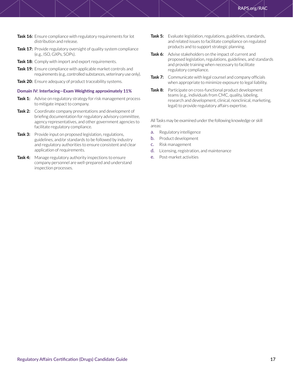- **Task 16:** Ensure compliance with regulatory requirements for lot distribution and release.
- **Task 17:** Provide regulatory oversight of quality system compliance (e.g., ISO, GXPs, SOPs).
- **Task 18:** Comply with import and export requirements.
- **Task 19:** Ensure compliance with applicable market controls and requirements (e.g., controlled substances, veterinary use only).
- **Task 20:** Ensure adequacy of product traceability systems.

### **Domain IV: Interfacing—Exam Weighting approximately 11%**

- **Task 1:** Advise on regulatory strategy for risk management process to mitigate impact to company.
- **Task 2:** Coordinate company presentations and development of briefing documentation for regulatory advisory committee, agency representatives, and other government agencies to facilitate regulatory compliance.
- **Task 3:** Provide input on proposed legislation, regulations, guidelines, and/or standards to be followed by industry and regulatory authorities to ensure consistent and clear application of requirements.
- **Task 4:** Manage regulatory authority inspections to ensure company personnel are well-prepared and understand inspection processes.
- **Task 5:** Evaluate legislation, regulations, guidelines, standards, and related issues to facilitate compliance on regulated products and to support strategic planning.
- **Task 6:** Advise stakeholders on the impact of current and proposed legislation, regulations, guidelines, and standards and provide training when necessary to facilitate regulatory compliance.
- **Task 7:** Communicate with legal counsel and company officials when appropriate to minimize exposure to legal liability.
- **Task 8:** Participate on cross-functional product development teams (e.g., individuals from CMC, quality, labeling, research and development, clinical, nonclinical, marketing, legal) to provide regulatory affairs expertise.

All Tasks may be examined under the following knowledge or skill areas:

- a. Regulatory intelligence
- b. Product development
- c. Risk management
- d. Licensing, registration, and maintenance
- e. Post-market activities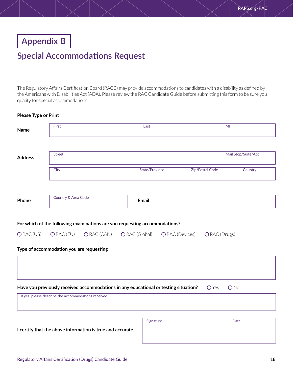<span id="page-17-0"></span>**Appendix B**

## **Special Accommodations Request**

The Regulatory Affairs Certification Board (RACB) may provide accommodations to candidates with a disability as defined by the Americans with Disabilities Act (ADA). Please review the RAC Candidate Guide before submitting this form to be sure you quality for special accommodations.

### **Please Type or Print**

| <b>Name</b>    | First<br>Last                                       |                                                                                          |               |                |                        | MI              |                     |
|----------------|-----------------------------------------------------|------------------------------------------------------------------------------------------|---------------|----------------|------------------------|-----------------|---------------------|
| <b>Address</b> | <b>Street</b>                                       |                                                                                          |               |                |                        |                 | Mail Stop/Suite/Apt |
|                | City                                                |                                                                                          |               | State/Province |                        | Zip/Postal Code | Country             |
| Phone          | Country & Area Code                                 |                                                                                          |               | <b>Email</b>   |                        |                 |                     |
| ORAC (US)      | ORAC (EU)                                           | For which of the following examinations are you requesting accommodations?<br>ORAC (CAN) | ORAC (Global) |                | <b>O</b> RAC (Devices) | ORAC (Drugs)    |                     |
|                | Type of accommodation you are requesting            |                                                                                          |               |                |                        |                 |                     |
|                |                                                     | Have you previously received accommodations in any educational or testing situation?     |               |                |                        | <b>O</b> Yes    | ONo                 |
|                | If yes, please describe the accommodations received |                                                                                          |               |                |                        |                 |                     |
|                |                                                     | I certify that the above information is true and accurate.                               |               | Signature      |                        |                 | <b>Date</b>         |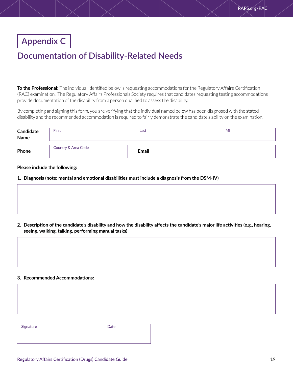## <span id="page-18-0"></span>**Appendix C**

## **Documentation of Disability-Related Needs**

**To the Professional:** The individual identified below is requesting accommodations for the Regulatory Affairs Certification (RAC) examination. The Regulatory Affairs Professionals Society requires that candidates requesting testing accommodations provide documentation of the disability from a person qualified to assess the disability.

By completing and signing this form, you are verifying that the individual named below has been diagnosed with the stated disability and the recommended accommodation is required to fairly demonstrate the candidate's ability on the examination.

| <b>Candidate</b><br>Name | First               | Last         | MI |
|--------------------------|---------------------|--------------|----|
| Phone                    | Country & Area Code | <b>Email</b> |    |

### **Please include the following:**

**1. Diagnosis (note: mental and emotional disabilities must include a diagnosis from the DSM-IV)**

**2. Description of the candidate's disability and how the disability affects the candidate's major life activities (e.g., hearing, seeing, walking, talking, performing manual tasks)**

### **3. Recommended Accommodations:**

Signature **Date**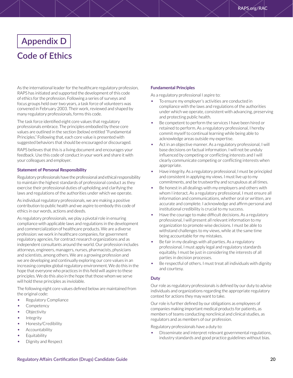# <span id="page-19-0"></span>**Appendix D Code of Ethics**

As the international leader for the healthcare regulatory profession, RAPS has initiated and supported the development of this code of ethics for the profession. Following a series of surveys and focus groups held over two years, a task force of volunteers was convened in February 2003. Their work, reviewed and shaped by many regulatory professionals, forms this code.

The task force identified eight core values that regulatory professionals embrace. The principles embodied by these core values are outlined in the section (below) entitled "Fundamental Principles." Following that, each core value is presented with suggested behaviors that should be encouraged or discouraged.

RAPS believes that this is a living document and encourages your feedback. Use this code of conduct in your work and share it with your colleagues and employer.

### **Statement of Personal Responsibility**

Regulatory professionals have the professional and ethical responsibility to maintain the highest standards of professional conduct as they exercise their professional duties of upholding and clarifying the laws and regulations of the authorities under which we operate.

As individual regulatory professionals, we are making a positive contribution to public health and we aspire to embody this code of ethics in our words, actions and deeds.

As regulatory professionals, we play a pivotal role in ensuring compliance with applicable laws and regulations in the development and commercialization of healthcare products. We are a diverse profession: we work in healthcare companies, for government regulatory agencies, for contract research organizations and as independent consultants around the world. Our profession includes attorneys, engineers, managers, nurses, pharmacists, physicians and scientists, among others. We are a growing profession and we are developing and continually exploring our core values in an increasing complex global regulatory environment. We do this in the hope that everyone who practices in this field will aspire to these principles. We do this also in the hope that those whom we serve will hold these principles as inviolable.

The following eight core values defined below are maintained from the original code:

- Regulatory Compliance
- Competency
- **Objectivity**
- **Integrity**
- Honesty/Credibility
- Accountability
- Equitability
- Dignity and Respect

### **Fundamental Principles**

As a regulatory professional I aspire to:

- To ensure my employer's activities are conducted in compliance with the laws and regulations of the authorities under which we operate, consistent with advancing, preserving and protecting public health.
- Be competent to perform the services I have been hired or retained to perform. As a regulatory professional, I hereby commit myself to continual learning while being able to acknowledge areas outside my expertise.
- Act in an objective manner. As a regulatory professional, I will base decisions on factual information. I will not be unduly influenced by competing or conflicting interests and I will clearly communicate competing or conflicting interests when appropriate.
- Have integrity. As a regulatory professional, I must be principled and consistent in applying my views. I must live up to my commitments, and be trustworthy and scrupulous at all times.
- Be honest in all dealings with my employers and others with whom I interact. As a regulatory professional, I must ensure all information and communications, whether oral or written, are accurate and complete. I acknowledge and affirm personal and institutional credibility is crucial to my success.
- Have the courage to make difficult decisions. As a regulatory professional, I will present all relevant information to my organization to promote wise decisions. I must be able to withstand challenges to my views, while at the same time being accountable for my mistakes.
- Be fair in my dealings with all parties. As a regulatory professional, I must apply legal and regulatory standards equitably. I must be just in considering the interests of all parties in decision processes.
- Be respectful of others. I must treat all individuals with dignity and courtesy.

### **Duty**

Our role as regulatory professionals is defined by our duty to advise individuals and organizations regarding the appropriate regulatory context for actions they may want to take.

Our role is further defined by our obligations as employees of companies making important medical products for patients, as members of teams conducting nonclinical and clinical studies, as regulators and as members of our profession.

Regulatory professionals have a duty to:

• Disseminate and interpret relevant governmental regulations, industry standards and good practice guidelines without bias.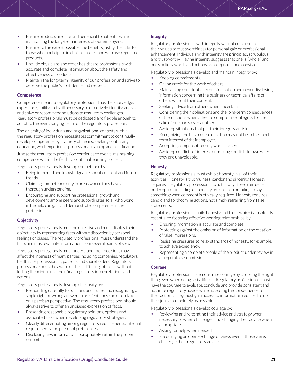- Ensure products are safe and beneficial to patients, while maintaining the long-term interests of our employers.
- Ensure, to the extent possible, the benefits justify the risks for those who participate in clinical studies and who use regulated products.
- Provide physicians and other healthcare professionals with accurate and complete information about the safety and effectiveness of products.
- Maintain the long-term integrity of our profession and strive to deserve the public's confidence and respect.

### **Competence**

Competence means a regulatory professional has the knowledge, experience, ability and skill necessary to effectively identify, analyze and solve or recommend solutions to regulatory challenges. Regulatory professionals must be dedicated and flexible enough to adapt to the everchanging realm of the regulatory profession.

The diversity of individuals and organizational contexts within the regulatory profession necessitates commitment to continually develop competence by a variety of means: seeking continuing education, work experience, professional training and certification.

Just as the regulatory profession continues to evolve, maintaining competence within the field is a continual learning process.

Regulatory professionals develop competence by:

- Being informed and knowledgeable about cur-rent and future trends.
- Claiming competence only in areas where they have a thorough understanding.
- Encouraging and supporting professional growth and development among peers and subordinates so all who work in the field can gain and demonstrate competence in the profession.

### **Objectivity**

Regulatory professionals must be objective and must display their objectivity by representing facts without distortion by personal feelings or biases. The regulatory professional must understand the facts and must evaluate information from several points of view.

Regulatory professionals must understand their decisions may affect the interests of many parties including companies, regulators, healthcare professionals, patients and shareholders. Regulatory professionals must be aware of these differing interests without letting them influence their final regulatory interpretations and actions.

Regulatory professionals develop objectivity by:

- Responding carefully to opinions and issues and recognizing a single right or wrong answer is rare. Opinions can often take on a partisan perspective. The regulatory professional should always strive to offer an unbiased expression of facts.
- Presenting reasonable regulatory opinions, options and associated risks when developing regulatory strategies.
- Clearly differentiating among regulatory requirements, internal requirements and personal preferences.
- Disclosing new information appropriately within the proper context.

### **Integrity**

Regulatory professionals with integrity will not compromise their values or trustworthiness for personal gain or professional enhancement. Individuals with integrity are principled, scrupulous and trustworthy. Having integrity suggests that one is "whole," and one's beliefs, words and actions are congruent and consistent.

Regulatory professionals develop and maintain integrity by:

- Keeping commitments.
- Giving credit for the work of others.
- Maintaining confidentiality of information and never disclosing information concerning the business or technical affairs of others without their consent.
- Seeking advice from others when uncertain.
- Considering their obligations and the long-term consequences of their actions when asked to compromise integrity for the sake of one party over another.
- Avoiding situations that put their integrity at risk.
- Recognizing the best course of action may not be in the shortterm interest of their employer.
- Accepting compensation only when earned.
- Avoiding conflicts of interest or making conflicts known when they are unavoidable.

### **Honesty**

Regulatory professionals must exhibit honesty in all of their activities. Honesty is truthfulness, candor and sincerity. Honesty requires a regulatory professional to act in ways free from deceit or deception, including dishonesty by omission or failing to say something when comment is ethically required. Honesty requires candid and forthcoming actions, not simply refraining from false statements.

Regulatory professionals build honesty and trust, which is absolutely essential to fostering effective working relationships, by:

- Ensuring information is accurate and complete.
- Protecting against the omission of information or the creation of false impressions.
- Resisting pressures to relax standards of honesty, for example, to achieve expediency.
- Representing a complete profile of the product under review in all regulatory submissions.

### **Courage**

Regulatory professionals demonstrate courage by choosing the right thing even when doing so is difficult. Regulatory professionals must have the courage to evaluate, conclude and provide consistent and accurate regulatory advice while accepting the consequences of their actions. They must gain access to information required to do their jobs as completely as possible.

Regulatory professionals develop courage by:

- Reviewing and reiterating their advice and strategy when necessary or when challenged and changing their advice when appropriate.
- Asking for help when needed.
- Encouraging an open exchange of views even if those views challenge their regulatory advice.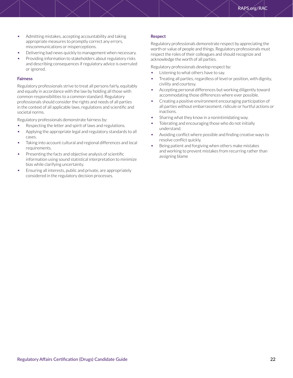- Admitting mistakes, accepting accountability and taking appropriate measures to promptly correct any errors, miscommunications or misperceptions.
- Delivering bad news quickly to management when necessary.
- Providing information to stakeholders about regulatory risks and describing consequences if regulatory advice is overruled or ignored.

### **Fairness**

Regulatory professionals strive to treat all persons fairly, equitably and equally in accordance with the law by holding all those with common responsibilities to a common standard. Regulatory professionals should consider the rights and needs of all parties in the context of all applicable laws, regulations and scientific and societal norms.

Regulatory professionals demonstrate fairness by:

- Respecting the letter and spirit of laws and regulations.
- Applying the appropriate legal and regulatory standards to all cases.
- Taking into account cultural and regional differences and local requirements.
- Presenting the facts and objective analysis of scientific information using sound statistical interpretation to minimize bias while clarifying uncertainty.
- Ensuring all interests, public and private, are appropriately considered in the regulatory decision processes.

### **Respect**

Regulatory professionals demonstrate respect by appreciating the worth or value of people and things. Regulatory professionals must respect the roles of their colleagues and should recognize and acknowledge the worth of all parties.

Regulatory professionals develop respect by:

- Listening to what others have to say.
- Treating all parties, regardless of level or position, with dignity, civility and courtesy.
- Accepting personal differences but working diligently toward accommodating those differences where ever possible.
- Creating a positive environment encouraging participation of all parties without embarrassment, ridicule or hurtful actions or inactions.
- Sharing what they know in a nonintimidating way.
- Tolerating and encouraging those who do not initially understand.
- Avoiding conflict where possible and finding creative ways to resolve conflict quickly.
- Being patient and forgiving when others make mistakes and working to prevent mistakes from recurring rather than assigning blame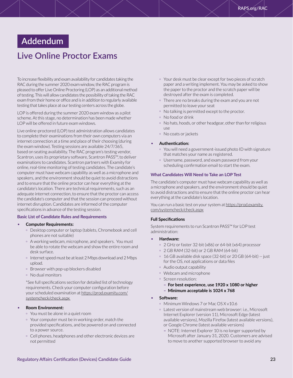## <span id="page-22-0"></span>**Addendum**

## **Live Online Proctor Exams**

To increase flexibility and exam availability for candidates taking the RAC during the summer 2020 exam window, the RAC program is pleased to offer Live Online Proctoring (LOP) as an additional method of testing. This will allow candidates the possibility of taking the RAC exam from their home or office and is in addition to regularly available testing that takes place at our testing centers across the globe.

LOP is offered during the summer 2020 exam window as a pilot scheme. At this stage, no determination has been made whether LOP will be offered in future exam windows.

Live online-proctored (LOP) test administration allows candidates to complete their examinations from their own computers via an internet connection at a time and place of their choosing (during the exam window). Testing sessions are available 24/7/365, based on seating availability. The RAC program's testing vendor, Scantron, uses its proprietary software, Scantron PASS™, to deliver examinations to candidates. Scantron partners with Examity for online, real-time monitoring of testing candidates. The candidate's computer must have webcam capability as well as a microphone and speakers, and the environment should be quiet to avoid distractions and to ensure that the online proctor can hear everything at the candidate's location. There are technical requirements, such as an adequate internet connection, to ensure that the proctor can access the candidate's computer and that the session can proceed without internet disruption. Candidates are informed of the computer specifications in advance of the testing session.

#### **Basic List of Candidate Rules and Requirements**

- **Computer Requirements:**
	- º Desktop computer or laptop (tablets, Chromebook and cell phones are not suitable)
	- º A working webcam, microphone, and speakers. You must be able to rotate the webcam and show the entire room and desk surface.
	- º Internet speed must be at least 2 Mbps download and 2 Mbps upload.
	- º Browser with pop-up blockers disabled
	- º No dual monitors

\*See full specifications section for detailed list of technology requirements. Check your computer configuration before your scheduled examination at [https://prod.examity.com/](https://prod.examity.com/systemcheck/check.aspx ) [systemcheck/check.aspx](https://prod.examity.com/systemcheck/check.aspx ) 

### • **Room Environment:**

- º You must be alone in a quiet room
- º Your computer must be in working order, match the provided specifications, and be powered on and connected to a power source.
- º Cell phones, headphones and other electronic devices are not permitted
- º Your desk must be clear except for two pieces of scratch paper and a writing implement. You may be asked to show the paper to the proctor and the scratch paper will be destroyed after the exam is completed.
- º There are no breaks during the exam and you are not permitted to leave your seat
- º No talking is permitted except to the proctor.
- º No food or drink
- º No hats, hoods, or other headgear, other than for religious use
- º No coats or jackets

#### • **Authentication:**

- º You will need a government-issued photo ID with signature that matches your name as registered.
- º Username, password, and exam password from your scheduling confirmation email to start the exam.

### **What Candidates Will Need to Take an LOP Test**

The candidate's computer must have webcam capability as well as a microphone and speakers, and the environment should be quiet to avoid distractions and to ensure that the online proctor can hear everything at the candidate's location.

You can run a basic test on your system at [https://prod.examity.](https://prod.examity.com/systemcheck/check.aspx) [com/systemcheck/check.aspx](https://prod.examity.com/systemcheck/check.aspx)

### **Full Specifications**

System requirements to run Scantron PASS™ for LOP test administration:

- **Hardware:**
	- º 2 GHz or faster 32-bit (x86) or 64-bit (x64) processor
	- º 2 GB RAM (32-bit) or 2 GB RAM (64-bit)
	- º 16 GB available disk space (32-bit) or 20 GB (64-bit) -- just for the OS, not applications or data files
	- º Audio output capability
	- º Webcam and microphone
	- º Screen resolution:
		- **– For best experience, use 1920 x 1080 or higher**
		- **– Minimum acceptable is 1024 x 768**

#### • **Software:**

- º Minimum Windows 7 or Mac OS X v10.6
- º Latest version of mainstream web browser: i.e., Microsoft Internet Explorer (version 11), Microsoft Edge (latest available versions), Mozilla Firefox (latest available versions), or Google Chrome (latest available versions)
	- **–** NOTE: Internet Explorer 10 is no longer supported by Microsoft after January 31, 2020. Customers are advised to move to another supported browser to avoid any